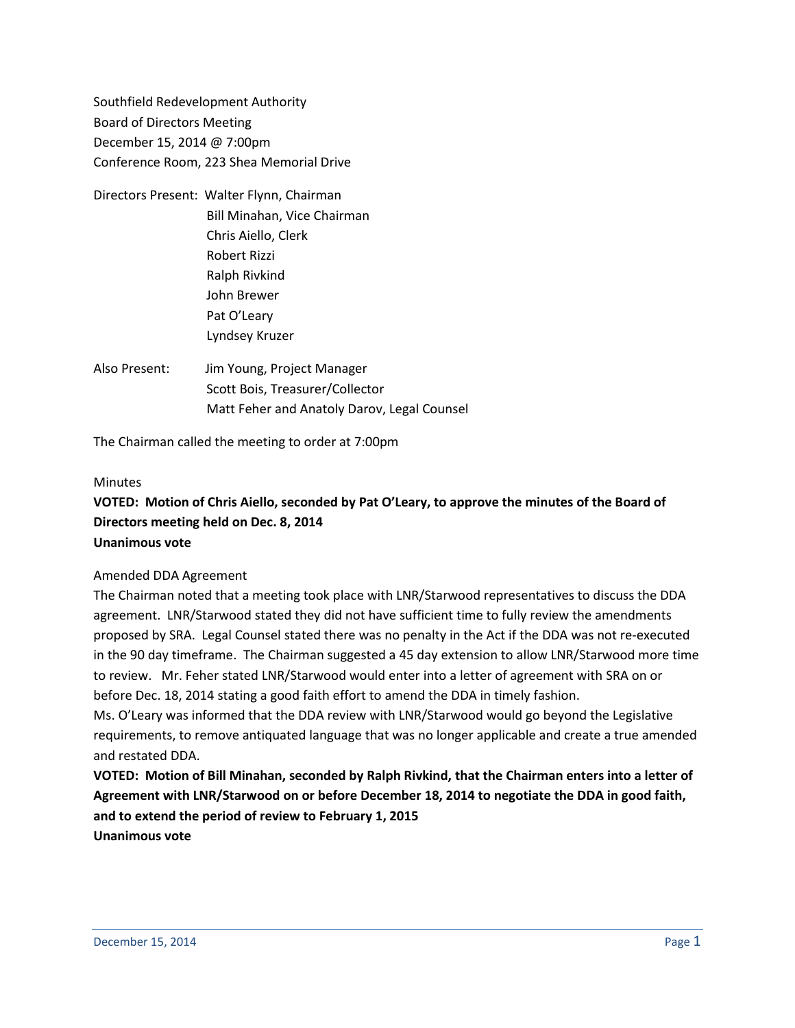Southfield Redevelopment Authority Board of Directors Meeting December 15, 2014 @ 7:00pm Conference Room, 223 Shea Memorial Drive

- Directors Present: Walter Flynn, Chairman Bill Minahan, Vice Chairman Chris Aiello, Clerk Robert Rizzi Ralph Rivkind John Brewer Pat O'Leary Lyndsey Kruzer
- Also Present: Jim Young, Project Manager Scott Bois, Treasurer/Collector Matt Feher and Anatoly Darov, Legal Counsel

The Chairman called the meeting to order at 7:00pm

#### **Minutes**

# **VOTED: Motion of Chris Aiello, seconded by Pat O'Leary, to approve the minutes of the Board of Directors meeting held on Dec. 8, 2014 Unanimous vote**

#### Amended DDA Agreement

The Chairman noted that a meeting took place with LNR/Starwood representatives to discuss the DDA agreement. LNR/Starwood stated they did not have sufficient time to fully review the amendments proposed by SRA. Legal Counsel stated there was no penalty in the Act if the DDA was not re-executed in the 90 day timeframe. The Chairman suggested a 45 day extension to allow LNR/Starwood more time to review. Mr. Feher stated LNR/Starwood would enter into a letter of agreement with SRA on or before Dec. 18, 2014 stating a good faith effort to amend the DDA in timely fashion.

Ms. O'Leary was informed that the DDA review with LNR/Starwood would go beyond the Legislative requirements, to remove antiquated language that was no longer applicable and create a true amended and restated DDA.

**VOTED: Motion of Bill Minahan, seconded by Ralph Rivkind, that the Chairman enters into a letter of Agreement with LNR/Starwood on or before December 18, 2014 to negotiate the DDA in good faith, and to extend the period of review to February 1, 2015 Unanimous vote**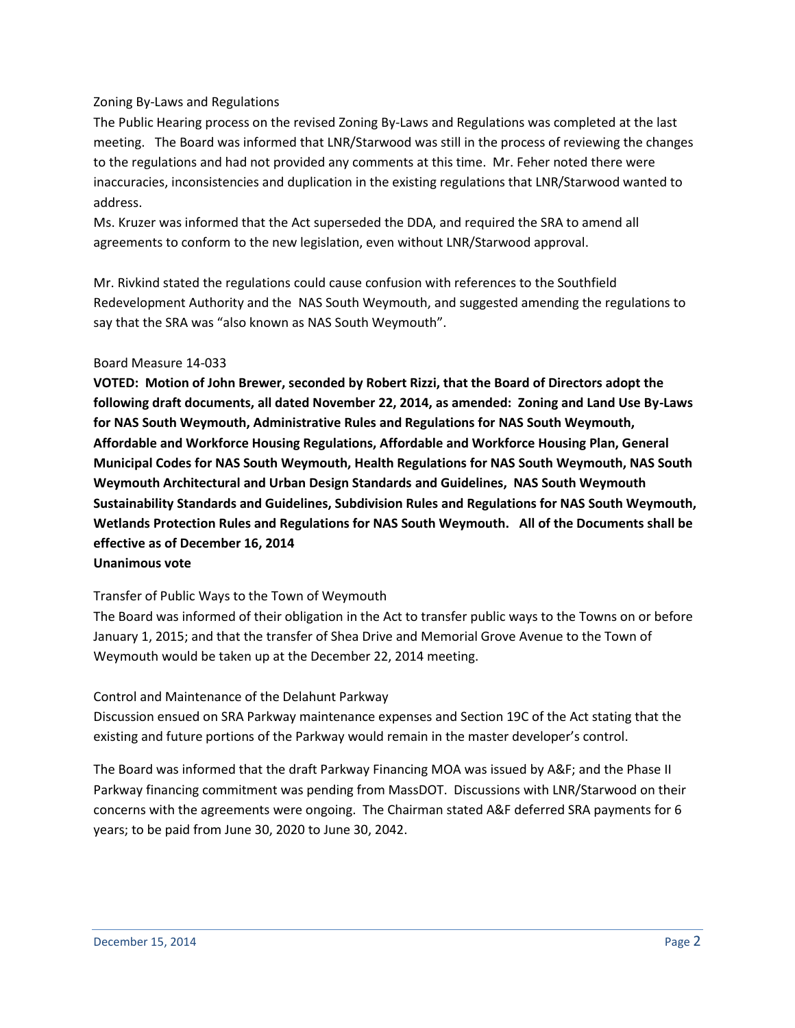## Zoning By-Laws and Regulations

The Public Hearing process on the revised Zoning By-Laws and Regulations was completed at the last meeting. The Board was informed that LNR/Starwood was still in the process of reviewing the changes to the regulations and had not provided any comments at this time. Mr. Feher noted there were inaccuracies, inconsistencies and duplication in the existing regulations that LNR/Starwood wanted to address.

Ms. Kruzer was informed that the Act superseded the DDA, and required the SRA to amend all agreements to conform to the new legislation, even without LNR/Starwood approval.

Mr. Rivkind stated the regulations could cause confusion with references to the Southfield Redevelopment Authority and the NAS South Weymouth, and suggested amending the regulations to say that the SRA was "also known as NAS South Weymouth".

### Board Measure 14-033

**VOTED: Motion of John Brewer, seconded by Robert Rizzi, that the Board of Directors adopt the following draft documents, all dated November 22, 2014, as amended: Zoning and Land Use By-Laws for NAS South Weymouth, Administrative Rules and Regulations for NAS South Weymouth, Affordable and Workforce Housing Regulations, Affordable and Workforce Housing Plan, General Municipal Codes for NAS South Weymouth, Health Regulations for NAS South Weymouth, NAS South Weymouth Architectural and Urban Design Standards and Guidelines, NAS South Weymouth Sustainability Standards and Guidelines, Subdivision Rules and Regulations for NAS South Weymouth, Wetlands Protection Rules and Regulations for NAS South Weymouth. All of the Documents shall be effective as of December 16, 2014**

# **Unanimous vote**

### Transfer of Public Ways to the Town of Weymouth

The Board was informed of their obligation in the Act to transfer public ways to the Towns on or before January 1, 2015; and that the transfer of Shea Drive and Memorial Grove Avenue to the Town of Weymouth would be taken up at the December 22, 2014 meeting.

### Control and Maintenance of the Delahunt Parkway

Discussion ensued on SRA Parkway maintenance expenses and Section 19C of the Act stating that the existing and future portions of the Parkway would remain in the master developer's control.

The Board was informed that the draft Parkway Financing MOA was issued by A&F; and the Phase II Parkway financing commitment was pending from MassDOT. Discussions with LNR/Starwood on their concerns with the agreements were ongoing. The Chairman stated A&F deferred SRA payments for 6 years; to be paid from June 30, 2020 to June 30, 2042.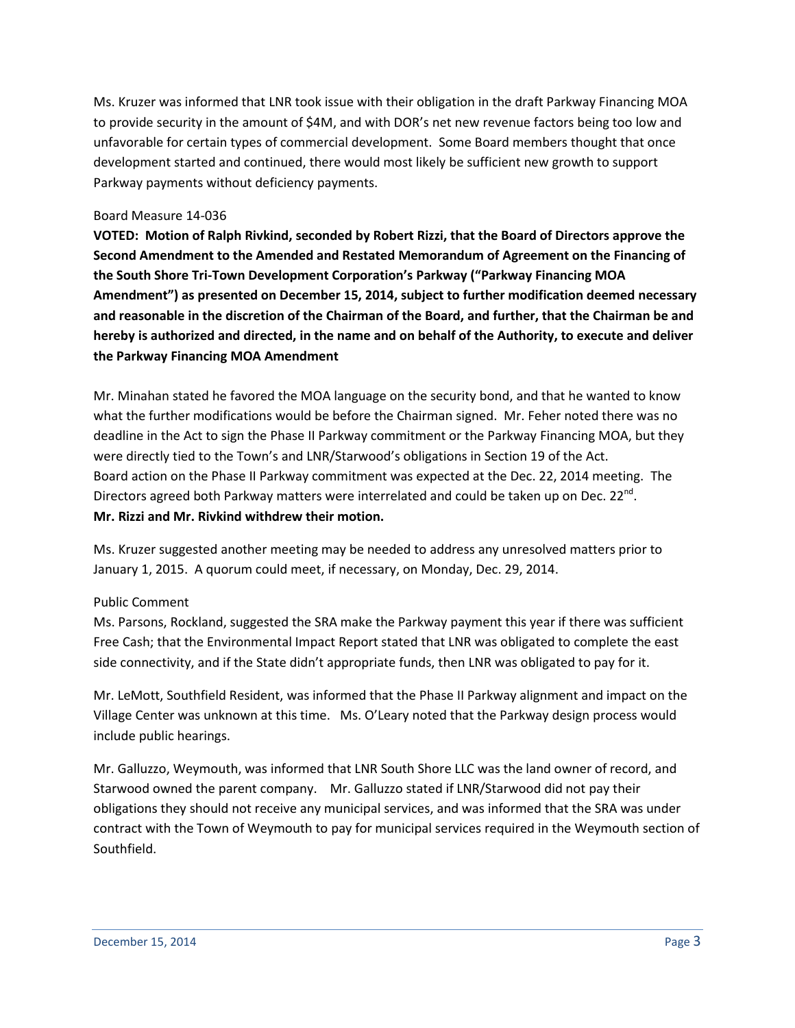Ms. Kruzer was informed that LNR took issue with their obligation in the draft Parkway Financing MOA to provide security in the amount of \$4M, and with DOR's net new revenue factors being too low and unfavorable for certain types of commercial development. Some Board members thought that once development started and continued, there would most likely be sufficient new growth to support Parkway payments without deficiency payments.

#### Board Measure 14-036

**VOTED: Motion of Ralph Rivkind, seconded by Robert Rizzi, that the Board of Directors approve the Second Amendment to the Amended and Restated Memorandum of Agreement on the Financing of the South Shore Tri-Town Development Corporation's Parkway ("Parkway Financing MOA Amendment") as presented on December 15, 2014, subject to further modification deemed necessary and reasonable in the discretion of the Chairman of the Board, and further, that the Chairman be and hereby is authorized and directed, in the name and on behalf of the Authority, to execute and deliver the Parkway Financing MOA Amendment**

Mr. Minahan stated he favored the MOA language on the security bond, and that he wanted to know what the further modifications would be before the Chairman signed. Mr. Feher noted there was no deadline in the Act to sign the Phase II Parkway commitment or the Parkway Financing MOA, but they were directly tied to the Town's and LNR/Starwood's obligations in Section 19 of the Act. Board action on the Phase II Parkway commitment was expected at the Dec. 22, 2014 meeting. The Directors agreed both Parkway matters were interrelated and could be taken up on Dec. 22<sup>nd</sup>. **Mr. Rizzi and Mr. Rivkind withdrew their motion.**

Ms. Kruzer suggested another meeting may be needed to address any unresolved matters prior to January 1, 2015. A quorum could meet, if necessary, on Monday, Dec. 29, 2014.

### Public Comment

Ms. Parsons, Rockland, suggested the SRA make the Parkway payment this year if there was sufficient Free Cash; that the Environmental Impact Report stated that LNR was obligated to complete the east side connectivity, and if the State didn't appropriate funds, then LNR was obligated to pay for it.

Mr. LeMott, Southfield Resident, was informed that the Phase II Parkway alignment and impact on the Village Center was unknown at this time. Ms. O'Leary noted that the Parkway design process would include public hearings.

Mr. Galluzzo, Weymouth, was informed that LNR South Shore LLC was the land owner of record, and Starwood owned the parent company. Mr. Galluzzo stated if LNR/Starwood did not pay their obligations they should not receive any municipal services, and was informed that the SRA was under contract with the Town of Weymouth to pay for municipal services required in the Weymouth section of Southfield.